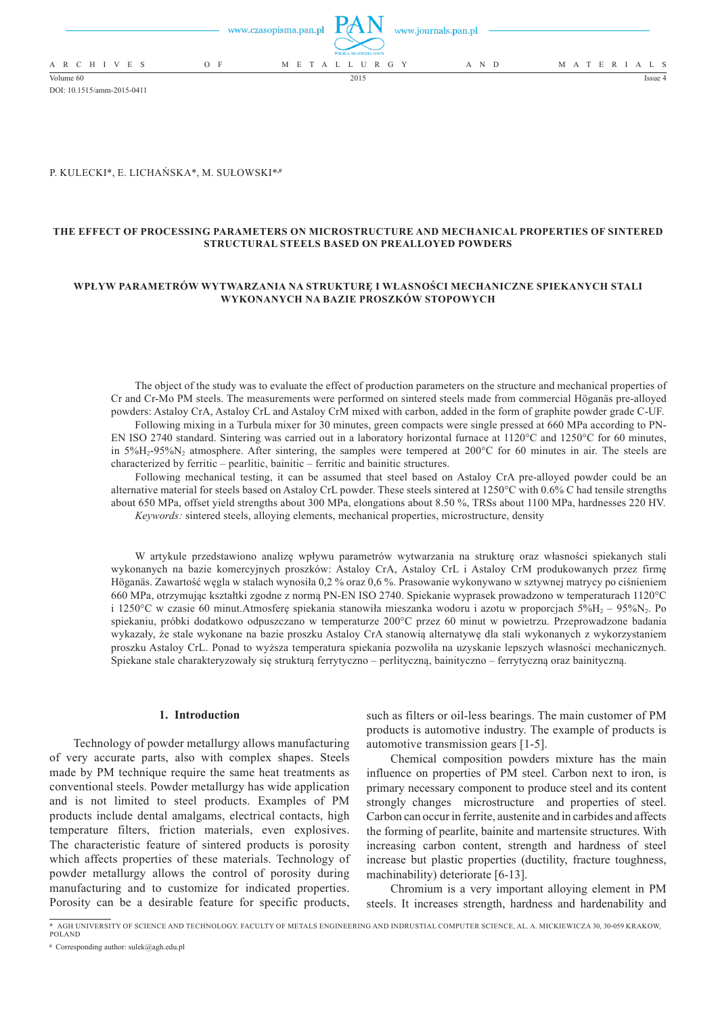|                 |       | www.czasopisma.pan.pl $\mathbf{L}(X \mathbf{M})$ www.journals.pan.pl<br>POLSKA AKADEMIA NAUK |       |                   |
|-----------------|-------|----------------------------------------------------------------------------------------------|-------|-------------------|
| A R C H I V E S | $O$ F | M E T A L L U R G Y                                                                          | A N D | M A T E R I A L S |
| Volume 60       |       | 2015                                                                                         |       | Issue 4           |

#### P. Kulecki\*, E. Lichańska\*, M. Sułowski\***,#**

DOI: 10.1515/amm-2015-0411

# **The effect of processing parameters on microstructure and mechanical properties of sintered structural steels based on prealloyed powders**

# **Wpływ parametrów wytwarzania na strukturę i własności mechaniczne spiekanych stali wykonanych na bazie proszków stopowych**

The object of the study was to evaluate the effect of production parameters on the structure and mechanical properties of Cr and Cr-Mo PM steels. The measurements were performed on sintered steels made from commercial Höganäs pre-alloyed powders: Astaloy CrA, Astaloy CrL and Astaloy CrM mixed with carbon, added in the form of graphite powder grade C-UF. Following mixing in a Turbula mixer for 30 minutes, green compacts were single pressed at 660 MPa according to PN-

EN ISO 2740 standard. Sintering was carried out in a laboratory horizontal furnace at 1120°C and 1250°C for 60 minutes, in 5%H2-95%N2 atmosphere. After sintering, the samples were tempered at 200°C for 60 minutes in air. The steels are characterized by ferritic – pearlitic, bainitic – ferritic and bainitic structures.

Following mechanical testing, it can be assumed that steel based on Astaloy CrA pre-alloyed powder could be an alternative material for steels based on Astaloy CrL powder. These steels sintered at 1250°C with 0.6% C had tensile strengths about 650 MPa, offset yield strengths about 300 MPa, elongations about 8.50 %, TRSs about 1100 MPa, hardnesses 220 HV. *Keywords:* sintered steels, alloying elements, mechanical properties, microstructure, density

W artykule przedstawiono analizę wpływu parametrów wytwarzania na strukturę oraz własności spiekanych stali wykonanych na bazie komercyjnych proszków: Astaloy CrA, Astaloy CrL i Astaloy CrM produkowanych przez firmę Höganäs. Zawartość węgla w stalach wynosiła 0,2 % oraz 0,6 %. Prasowanie wykonywano w sztywnej matrycy po ciśnieniem 660 MPa, otrzymując kształtki zgodne z normą PN-EN ISO 2740. Spiekanie wyprasek prowadzono w temperaturach 1120°C i 1250°C w czasie 60 minut.Atmosferę spiekania stanowiła mieszanka wodoru i azotu w proporcjach 5%H<sub>2</sub> – 95%N<sub>2</sub>. Po spiekaniu, próbki dodatkowo odpuszczano w temperaturze 200°C przez 60 minut w powietrzu. Przeprowadzone badania wykazały, że stale wykonane na bazie proszku Astaloy CrA stanowią alternatywę dla stali wykonanych z wykorzystaniem proszku Astaloy CrL. Ponad to wyższa temperatura spiekania pozwoliła na uzyskanie lepszych własności mechanicznych. Spiekane stale charakteryzowały się strukturą ferrytyczno – perlityczną, bainityczno – ferrytyczną oraz bainityczną.

# **1. Introduction**

Technology of powder metallurgy allows manufacturing of very accurate parts, also with complex shapes. Steels made by PM technique require the same heat treatments as conventional steels. Powder metallurgy has wide application and is not limited to steel products. Examples of PM products include dental amalgams, electrical contacts, high temperature filters, friction materials, even explosives. The characteristic feature of sintered products is porosity which affects properties of these materials. Technology of powder metallurgy allows the control of porosity during manufacturing and to customize for indicated properties. Porosity can be a desirable feature for specific products,

such as filters or oil-less bearings. The main customer of PM products is automotive industry. The example of products is automotive transmission gears [1-5].

Chemical composition powders mixture has the main influence on properties of PM steel. Carbon next to iron, is primary necessary component to produce steel and its content strongly changes microstructure and properties of steel. Carbon can occur in ferrite, austenite and in carbides and affects the forming of pearlite, bainite and martensite structures. With increasing carbon content, strength and hardness of steel increase but plastic properties (ductility, fracture toughness, machinability) deteriorate [6-13].

Chromium is a very important alloying element in PM steels. It increases strength, hardness and hardenability and

<sup>\*</sup> agh university of science and technology. faculty of metals engineering and indrustial computer science, al. a. mickiewicza 30, 30-059 krakow, poland

**<sup>#</sup>** Corresponding author: sulek@agh.edu.pl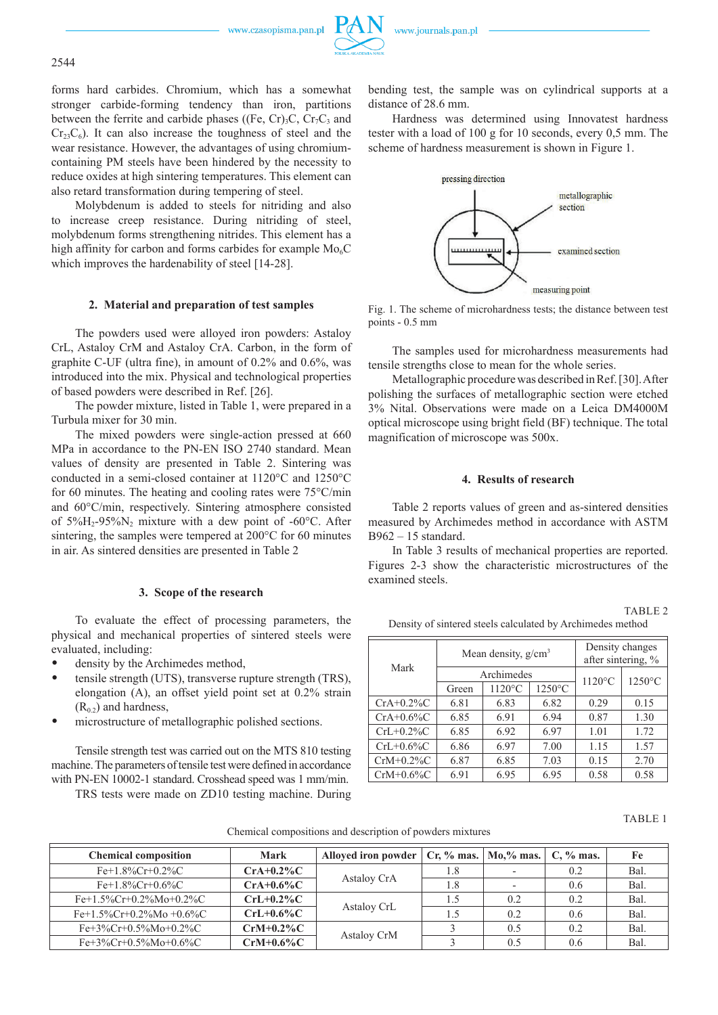www.czasopisma.pan.pl



forms hard carbides. Chromium, which has a somewhat stronger carbide-forming tendency than iron, partitions between the ferrite and carbide phases ((Fe, Cr)<sub>3</sub>C, Cr<sub>7</sub>C<sub>3</sub> and  $Cr<sub>23</sub>C<sub>6</sub>$ ). It can also increase the toughness of steel and the wear resistance. However, the advantages of using chromiumcontaining PM steels have been hindered by the necessity to reduce oxides at high sintering temperatures. This element can also retard transformation during tempering of steel.

Molybdenum is added to steels for nitriding and also to increase creep resistance. During nitriding of steel, molybdenum forms strengthening nitrides. This element has a high affinity for carbon and forms carbides for example  $Mo<sub>6</sub>C$ which improves the hardenability of steel [14-28].

# **2. Material and preparation of test samples**

The powders used were alloyed iron powders: Astaloy CrL, Astaloy CrM and Astaloy CrA. Carbon, in the form of graphite C-UF (ultra fine), in amount of 0.2% and 0.6%, was introduced into the mix. Physical and technological properties of based powders were described in Ref. [26].

The powder mixture, listed in Table 1, were prepared in a Turbula mixer for 30 min.

The mixed powders were single-action pressed at 660 MPa in accordance to the PN-EN ISO 2740 standard. Mean values of density are presented in Table 2. Sintering was conducted in a semi-closed container at 1120°C and 1250°C for 60 minutes. The heating and cooling rates were 75°C/min and 60°C/min, respectively. Sintering atmosphere consisted of  $5\%$ H<sub>2</sub>-95%N<sub>2</sub> mixture with a dew point of -60°C. After sintering, the samples were tempered at 200°C for 60 minutes in air. As sintered densities are presented in Table 2

### **3. Scope of the research**

To evaluate the effect of processing parameters, the physical and mechanical properties of sintered steels were evaluated, including:

- density by the Archimedes method,
- tensile strength (UTS), transverse rupture strength (TRS), elongation (A), an offset yield point set at 0.2% strain  $(R<sub>0.2</sub>)$  and hardness,
- microstructure of metallographic polished sections.

Tensile strength test was carried out on the MTS 810 testing machine. The parameters of tensile test were defined in accordance with PN-EN 10002-1 standard. Crosshead speed was 1 mm/min.

TRS tests were made on ZD10 testing machine. During

bending test, the sample was on cylindrical supports at a distance of 28.6 mm.

Hardness was determined using Innovatest hardness tester with a load of 100 g for 10 seconds, every 0,5 mm. The scheme of hardness measurement is shown in Figure 1.



Fig. 1. The scheme of microhardness tests; the distance between test points - 0.5 mm

The samples used for microhardness measurements had tensile strengths close to mean for the whole series.

Metallographic procedure was described in Ref. [30]. After polishing the surfaces of metallographic section were etched 3% Nital. Observations were made on a Leica DM4000M optical microscope using bright field (BF) technique. The total magnification of microscope was 500x.

### **4. Results of research**

Table 2 reports values of green and as-sintered densities measured by Archimedes method in accordance with ASTM B962 – 15 standard.

In Table 3 results of mechanical properties are reported. Figures 2-3 show the characteristic microstructures of the examined steels.

TABLE 2

Density of sintered steels calculated by Archimedes method

| Mark         |       | Mean density, $g/cm3$ | Density changes<br>after sintering, % |                  |      |
|--------------|-------|-----------------------|---------------------------------------|------------------|------|
|              |       | Archimedes            | $1120^{\circ}$ C                      | $1250^{\circ}$ C |      |
|              | Green | 1120°C                | $1250^{\circ}$ C                      |                  |      |
| $CrA+0.2\%C$ | 6.81  | 6.83                  | 6.82                                  | 0.29             | 0.15 |
| $CrA+0.6\%C$ | 6.85  | 6.91                  | 6.94                                  | 0.87             | 1.30 |
| $CrL+0.2\%C$ | 6.85  | 6.92                  | 6.97                                  | 1.01             | 1.72 |
| $CrL+0.6\%C$ | 6.86  | 6.97                  | 7.00                                  | 1.15             | 1.57 |
| $CrM+0.2\%C$ | 6.87  | 6.85                  | 7.03                                  | 0.15             | 2.70 |
| $CrM+0.6\%C$ | 6.91  | 6.95                  | 6.95                                  | 0.58             | 0.58 |

TABLE 1

Chemical compositions and description of powders mixtures

| <b>Chemical composition</b> | Mark         | Alloyed iron powder   Cr, % mas.   Mo,% mas. |     |     | $C, \%$ mas. | Fe   |
|-----------------------------|--------------|----------------------------------------------|-----|-----|--------------|------|
| $Fe+1.8\%Cr+0.2\%C$         | $CrA+0.2\%C$ | Astaloy CrA                                  | 1.8 |     | 0.2          | Bal. |
| $Fe+1.8\%Cr+0.6\%C$         | $CrA+0.6\%C$ |                                              | 1.8 |     | 0.6          | Bal. |
| $Fe+1.5\%Cr+0.2\%Mo+0.2\%C$ | $CrL+0.2\%C$ |                                              | 1.5 | 0.2 | 0.2          | Bal. |
| $Fe+1.5\%$ Cr+0.2%Mo +0.6%C | $CrL+0.6\%C$ | Astaloy CrL                                  | 1.5 | 0.2 | 0.6          | Bal. |
| $Fe+3\%Cr+0.5\%Mo+0.2\%C$   | $CrM+0.2\%C$ | <b>Astalov CrM</b>                           |     | 0.5 | 0.2          | Bal. |
| $Fe+3\%Cr+0.5\%Mo+0.6\%C$   | $CrM+0.6\%C$ |                                              |     | 0.5 | 0.6          | Bal  |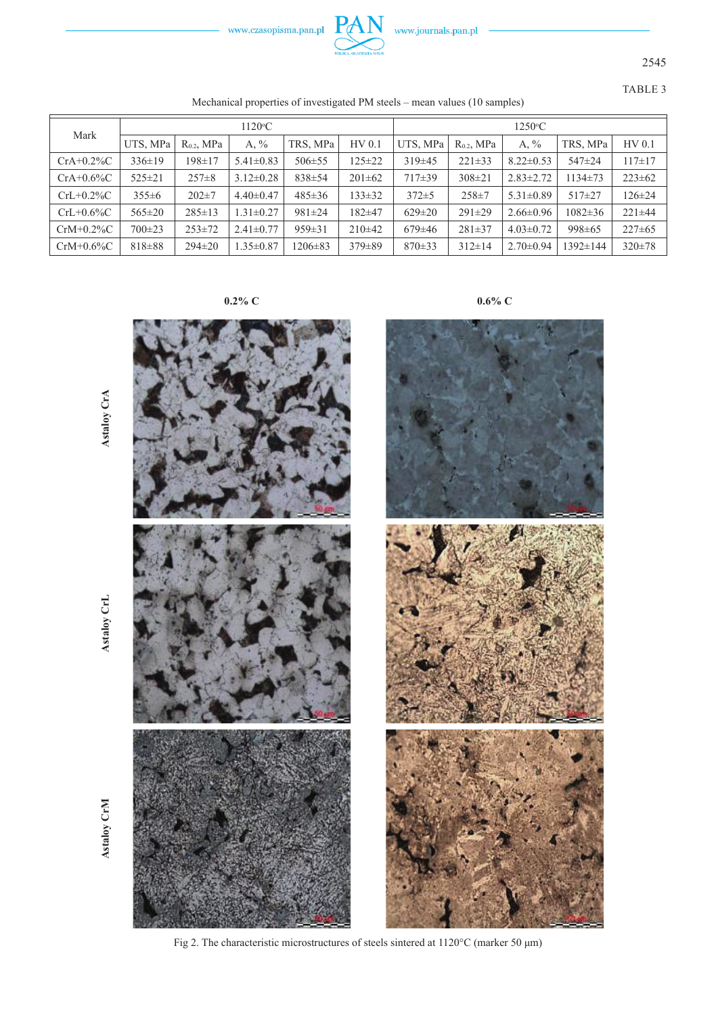



2545

TABLE 3

Mechanical properties of investigated PM steels – mean values (10 samples)

| Mark         | $1120^{\circ}$ C |                 |                 |               | $1250^{\circ}$ C |              |              |                  |                |              |
|--------------|------------------|-----------------|-----------------|---------------|------------------|--------------|--------------|------------------|----------------|--------------|
|              | UTS, MPa         | $R_{0.2}$ , MPa | A, $\%$         | TRS. MPa      | HV 0.1           | UTS, MPa     | $R0.2$ , MPa | A, $\frac{6}{9}$ | TRS, MPa       | HV 0.1       |
| $CrA+0.2\%C$ | $336 \pm 19$     | 198±17          | $5.41 \pm 0.83$ | $506 \pm 55$  | $125 \pm 22$     | $319\pm45$   | $221 \pm 33$ | $8.22 \pm 0.53$  | 547±24         | $117 + 17$   |
| $CrA+0.6\%C$ | $525 \pm 21$     | $257 \pm 8$     | $3.12 \pm 0.28$ | $838 \pm 54$  | $201 \pm 62$     | $717\pm39$   | $308 \pm 21$ | $2.83 \pm 2.72$  | 1134±73        | $223 \pm 62$ |
| $CrL+0.2\%C$ | $355 \pm 6$      | $202 \pm 7$     | $4.40\pm0.47$   | $485 \pm 36$  | $133 \pm 32$     | $372 \pm 5$  | $258 \pm 7$  | $5.31 \pm 0.89$  | $517+27$       | $126 \pm 24$ |
| $CrL+0.6\%C$ | $565 \pm 20$     | $285 \pm 13$    | $1.31 \pm 0.27$ | $981 \pm 24$  | 182±47           | $629 \pm 20$ | $291 \pm 29$ | $2.66 \pm 0.96$  | $1082 \pm 36$  | $221 \pm 44$ |
| $CrM+0.2\%C$ | $700 \pm 23$     | $253 \pm 72$    | $2.41 \pm 0.77$ | $959 \pm 31$  | $210\pm 42$      | $679\pm46$   | $281 \pm 37$ | $4.03 \pm 0.72$  | $998 \pm 65$   | $227 \pm 65$ |
| $CrM+0.6\%C$ | $818 \pm 88$     | $294 \pm 20$    | $1.35 \pm 0.87$ | $1206 \pm 83$ | $379\pm89$       | $870 \pm 33$ | $312 \pm 14$ | $2.70 \pm 0.94$  | $1392 \pm 144$ | $320 \pm 78$ |

**0.2% C 0.6% C**



Fig 2. The characteristic microstructures of steels sintered at 1120°C (marker 50 μm)

**Astaloy**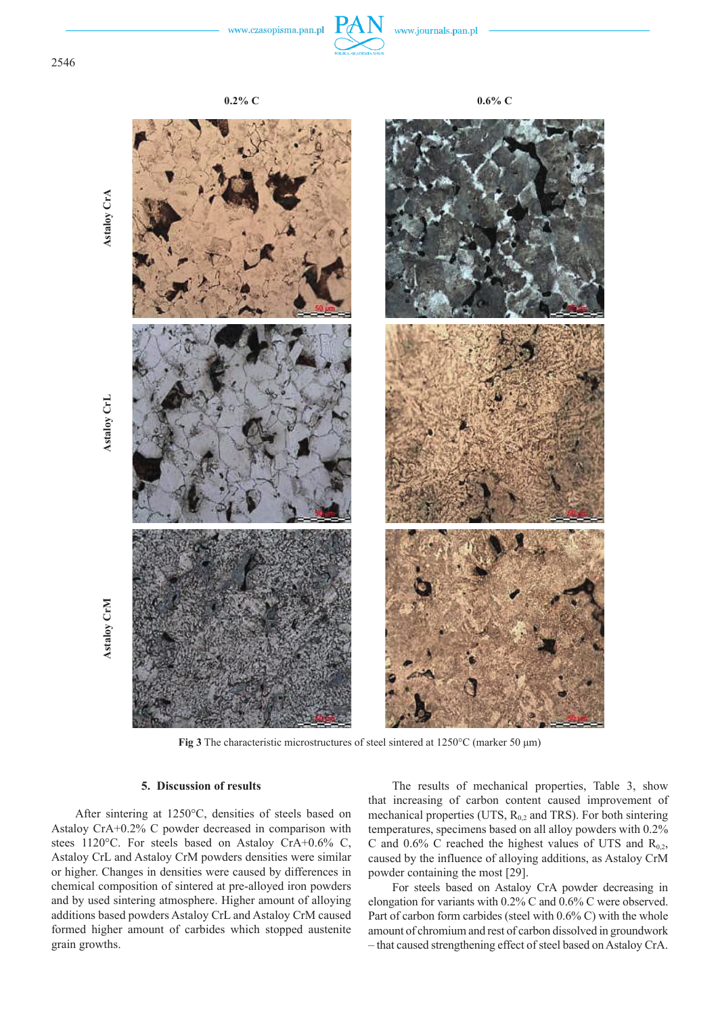

**Fig 3** The characteristic microstructures of steel sintered at 1250°C (marker 50 μm)

## **5. Discussion of results**

After sintering at 1250°C, densities of steels based on Astaloy CrA+0.2% C powder decreased in comparison with stees 1120°C. For steels based on Astaloy CrA+0.6% C, Astaloy CrL and Astaloy CrM powders densities were similar or higher. Changes in densities were caused by differences in chemical composition of sintered at pre-alloyed iron powders and by used sintering atmosphere. Higher amount of alloying additions based powders Astaloy CrL and Astaloy CrM caused formed higher amount of carbides which stopped austenite grain growths.

The results of mechanical properties, Table 3, show that increasing of carbon content caused improvement of mechanical properties (UTS,  $R_{0,2}$  and TRS). For both sintering temperatures, specimens based on all alloy powders with 0.2% C and 0.6% C reached the highest values of UTS and  $R_{0,2}$ , caused by the influence of alloying additions, as Astaloy CrM powder containing the most [29].

For steels based on Astaloy CrA powder decreasing in elongation for variants with 0.2% C and 0.6% C were observed. Part of carbon form carbides (steel with  $0.6\%$  C) with the whole amount of chromium and rest of carbon dissolved in groundwork – that caused strengthening effect of steel based on Astaloy CrA.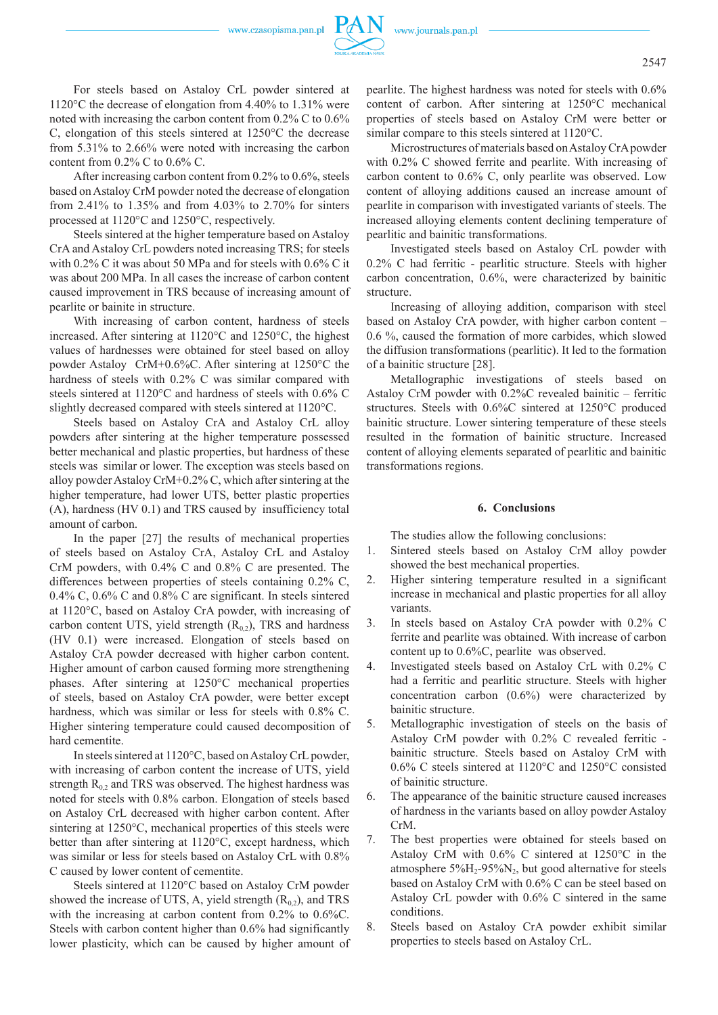www.czasopisma.pan.pl



For steels based on Astaloy CrL powder sintered at 1120°C the decrease of elongation from 4.40% to 1.31% were noted with increasing the carbon content from 0.2% C to 0.6% C, elongation of this steels sintered at 1250°C the decrease from 5.31% to 2.66% were noted with increasing the carbon content from  $0.2\%$  C to  $0.6\%$  C.

After increasing carbon content from 0.2% to 0.6%, steels based on Astaloy CrM powder noted the decrease of elongation from 2.41% to 1.35% and from 4.03% to 2.70% for sinters processed at 1120°C and 1250°C, respectively.

Steels sintered at the higher temperature based on Astaloy CrA and Astaloy CrL powders noted increasing TRS; for steels with 0.2% C it was about 50 MPa and for steels with 0.6% C it was about 200 MPa. In all cases the increase of carbon content caused improvement in TRS because of increasing amount of pearlite or bainite in structure.

With increasing of carbon content, hardness of steels increased. After sintering at 1120°C and 1250°C, the highest values of hardnesses were obtained for steel based on alloy powder Astaloy CrM+0.6%C. After sintering at 1250°C the hardness of steels with 0.2% C was similar compared with steels sintered at 1120°C and hardness of steels with 0.6% C slightly decreased compared with steels sintered at 1120°C.

Steels based on Astaloy CrA and Astaloy CrL alloy powders after sintering at the higher temperature possessed better mechanical and plastic properties, but hardness of these steels was similar or lower. The exception was steels based on alloy powder Astaloy CrM+0.2% C, which after sintering at the higher temperature, had lower UTS, better plastic properties (A), hardness (HV 0.1) and TRS caused by insufficiency total amount of carbon.

In the paper [27] the results of mechanical properties of steels based on Astaloy CrA, Astaloy CrL and Astaloy CrM powders, with 0.4% C and 0.8% C are presented. The differences between properties of steels containing 0.2% C, 0.4% C, 0.6% C and 0.8% C are significant. In steels sintered at 1120°C, based on Astaloy CrA powder, with increasing of carbon content UTS, yield strength  $(R_{02})$ , TRS and hardness (HV 0.1) were increased. Elongation of steels based on Astaloy CrA powder decreased with higher carbon content. Higher amount of carbon caused forming more strengthening phases. After sintering at 1250°C mechanical properties of steels, based on Astaloy CrA powder, were better except hardness, which was similar or less for steels with 0.8% C. Higher sintering temperature could caused decomposition of hard cementite.

In steels sintered at 1120°C, based on Astaloy CrL powder, with increasing of carbon content the increase of UTS, yield strength  $R_{0,2}$  and TRS was observed. The highest hardness was noted for steels with 0.8% carbon. Elongation of steels based on Astaloy CrL decreased with higher carbon content. After sintering at 1250°C, mechanical properties of this steels were better than after sintering at 1120°C, except hardness, which was similar or less for steels based on Astaloy CrL with 0.8% C caused by lower content of cementite.

Steels sintered at 1120°C based on Astaloy CrM powder showed the increase of UTS, A, yield strength  $(R_{0,2})$ , and TRS with the increasing at carbon content from 0.2% to 0.6%C. Steels with carbon content higher than 0.6% had significantly lower plasticity, which can be caused by higher amount of pearlite. The highest hardness was noted for steels with 0.6% content of carbon. After sintering at 1250°C mechanical properties of steels based on Astaloy CrM were better or similar compare to this steels sintered at 1120°C.

Microstructures of materials based on Astaloy CrA powder with  $0.2\%$  C showed ferrite and pearlite. With increasing of carbon content to 0.6% C, only pearlite was observed. Low content of alloying additions caused an increase amount of pearlite in comparison with investigated variants of steels. The increased alloying elements content declining temperature of pearlitic and bainitic transformations.

Investigated steels based on Astaloy CrL powder with 0.2% C had ferritic - pearlitic structure. Steels with higher carbon concentration, 0.6%, were characterized by bainitic structure.

Increasing of alloying addition, comparison with steel based on Astaloy CrA powder, with higher carbon content – 0.6 %, caused the formation of more carbides, which slowed the diffusion transformations (pearlitic). It led to the formation of a bainitic structure [28].

Metallographic investigations of steels based on Astaloy CrM powder with 0.2%C revealed bainitic – ferritic structures. Steels with 0.6%C sintered at 1250°C produced bainitic structure. Lower sintering temperature of these steels resulted in the formation of bainitic structure. Increased content of alloying elements separated of pearlitic and bainitic transformations regions.

### **6. Conclusions**

The studies allow the following conclusions:

- 1. Sintered steels based on Astaloy CrM alloy powder showed the best mechanical properties.
- 2. Higher sintering temperature resulted in a significant increase in mechanical and plastic properties for all alloy variants.
- 3. In steels based on Astaloy CrA powder with 0.2% C ferrite and pearlite was obtained. With increase of carbon content up to 0.6%C, pearlite was observed.
- 4. Investigated steels based on Astaloy CrL with 0.2% C had a ferritic and pearlitic structure. Steels with higher concentration carbon (0.6%) were characterized by bainitic structure.
- 5. Metallographic investigation of steels on the basis of Astaloy CrM powder with 0.2% C revealed ferritic bainitic structure. Steels based on Astaloy CrM with 0.6% C steels sintered at 1120°C and 1250°C consisted of bainitic structure.
- 6. The appearance of the bainitic structure caused increases of hardness in the variants based on alloy powder Astaloy CrM.
- 7. The best properties were obtained for steels based on Astaloy CrM with 0.6% C sintered at 1250°C in the atmosphere  $5\%$ H<sub>2</sub>-95%N<sub>2</sub>, but good alternative for steels based on Astaloy CrM with 0.6% C can be steel based on Astaloy CrL powder with 0.6% C sintered in the same conditions.
- 8. Steels based on Astaloy CrA powder exhibit similar properties to steels based on Astaloy CrL.